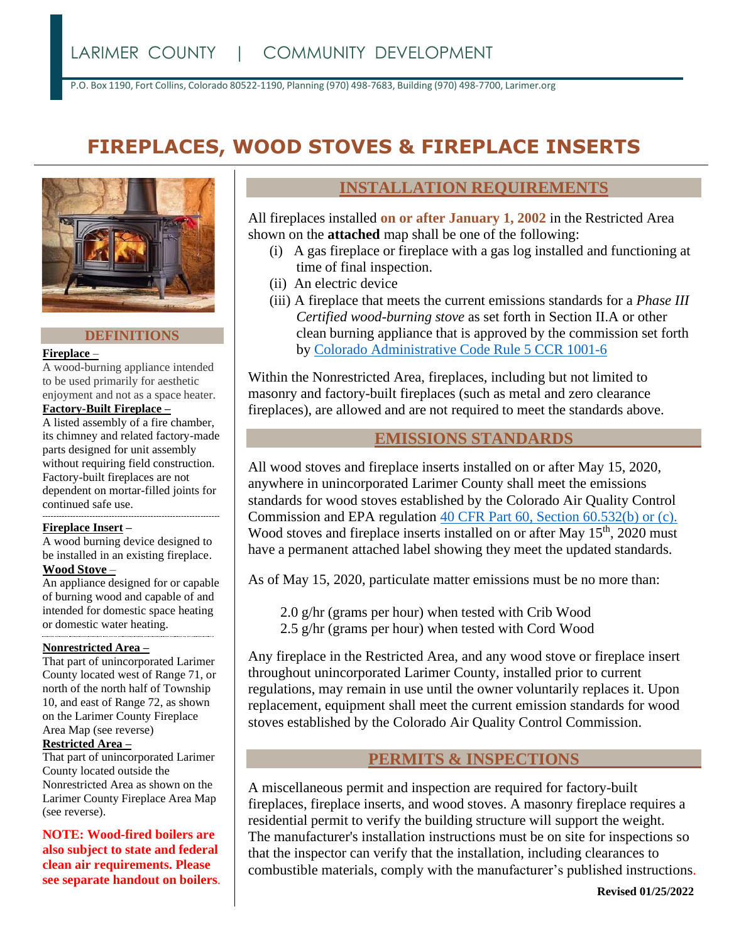P.O. Box 1190, Fort Collins, Colorado 80522-1190, Planning (970) 498-7683, Building (970) 498-7700, Larimer.org

# **FIREPLACES, WOOD STOVES & FIREPLACE INSERTS**



#### **DEFINITIONS**

#### **Fireplace** –

A wood-burning appliance intended to be used primarily for aesthetic enjoyment and not as a space heater.

## **Factory-Built Fireplace –**

A listed assembly of a fire chamber, its chimney and related factory-made parts designed for unit assembly without requiring field construction. Factory-built fireplaces are not dependent on mortar-filled joints for continued safe use. ----------------------------------------------------------------

#### **Fireplace Insert –**

A wood burning device designed to be installed in an existing fireplace.

# **Wood Stove** –

An appliance designed for or capable of burning wood and capable of and intended for domestic space heating or domestic water heating.

#### **Nonrestricted Area –**

That part of unincorporated Larimer County located west of Range 71, or north of the north half of Township 10, and east of Range 72, as shown on the Larimer County Fireplace Area Map (see reverse)

#### **Restricted Area –**

That part of unincorporated Larimer County located outside the Nonrestricted Area as shown on the Larimer County Fireplace Area Map (see reverse).

**NOTE: Wood-fired boilers are also subject to state and federal clean air requirements. Please see separate handout on boilers**.

# **INSTALLATION REQUIREMENTS**

All fireplaces installed **on or after January 1, 2002** in the Restricted Area shown on the **attached** map shall be one of the following:

- (i) A gas fireplace or fireplace with a gas log installed and functioning at time of final inspection.
- (ii) An electric device
- (iii) A fireplace that meets the current emissions standards for a *Phase III Certified wood-burning stove* as set forth in Section II.A or other clean burning appliance that is approved by the commission set forth by Colorado [Administrative](https://drive.google.com/file/d/1dSV0kx2cEPQ399nEzHecyg-qa5unUwr2/view) Code Rule 5 CCR 1001-6

Within the Nonrestricted Area, fireplaces, including but not limited to masonry and factory-built fireplaces (such as metal and zero clearance fireplaces), are allowed and are not required to meet the standards above.

### **EMISSIONS STANDARDS**

All wood stoves and fireplace inserts installed on or after May 15, 2020, anywhere in unincorporated Larimer County shall meet the emissions standards for wood stoves established by the Colorado Air Quality Control Commission and EPA regulation [40 CFR Part 60, Section 60.532\(b\) or \(c\).](https://www.govregs.com/regulations/expand/title40_chapterI_part60_subpartAAA_section60.532#title40_chapterI_part60_subpartAAA_section60.530) Wood stoves and fireplace inserts installed on or after May 15<sup>th</sup>, 2020 must have a permanent attached label showing they meet the updated standards.

As of May 15, 2020, particulate matter emissions must be no more than:

- 2.0 g/hr (grams per hour) when tested with Crib Wood
- 2.5 g/hr (grams per hour) when tested with Cord Wood

Any fireplace in the Restricted Area, and any wood stove or fireplace insert throughout unincorporated Larimer County, installed prior to current regulations, may remain in use until the owner voluntarily replaces it. Upon replacement, equipment shall meet the current emission standards for wood stoves established by the Colorado Air Quality Control Commission.

## **PERMITS & INSPECTIONS**

A miscellaneous permit and inspection are required for factory-built fireplaces, fireplace inserts, and wood stoves. A masonry fireplace requires a residential permit to verify the building structure will support the weight. The manufacturer's installation instructions must be on site for inspections so that the inspector can verify that the installation, including clearances to combustible materials, comply with the manufacturer's published instructions.